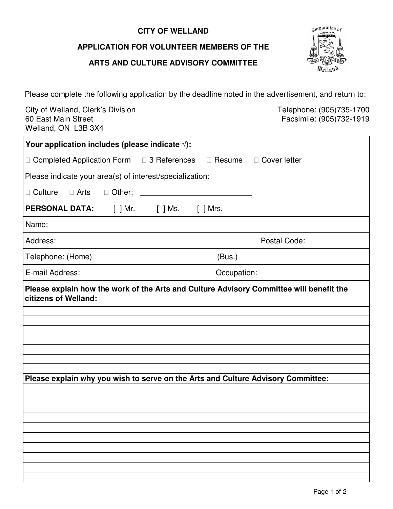# **CITY OF WELLAND**

# **APPLICATION FOR VOLUNTEER MEMBERS OF THE**

#### **ARTS AND CULTURE ADVISORY COMMITTEE**



Please complete the following application by the deadline noted in the advertisement, and return to:

City of Welland, Clerk's Division Clerkton Clerking Clergy and Telephone: (905)735-1700 60 East Main Street Welland, ON L3B 3X4 60 East Main Street Facsimile: (905)732-1919

| Your application includes (please indicate $\sqrt{ }$ ):                         |                |  |
|----------------------------------------------------------------------------------|----------------|--|
| $\Box$ Completed Application Form $\Box$ 3 References<br>$\Box$ Resume           | □ Cover letter |  |
| Please indicate your area(s) of interest/specialization:                         |                |  |
| $\Box$ Culture<br>$\Box$ Arts<br>$\Box$ Other:                                   |                |  |
| <b>PERSONAL DATA:</b><br>[ ] Mr.<br>[ ] Mrs.                                     |                |  |
| Name:                                                                            |                |  |
| Address:                                                                         | Postal Code:   |  |
| (Bus.)<br>Telephone: (Home)                                                      |                |  |
| E-mail Address:<br>Occupation:                                                   |                |  |
| citizens of Welland:                                                             |                |  |
| Please explain why you wish to serve on the Arts and Culture Advisory Committee: |                |  |
|                                                                                  |                |  |
|                                                                                  |                |  |
|                                                                                  |                |  |
|                                                                                  |                |  |